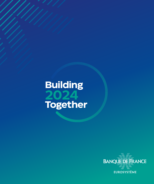# Building 2024 Together

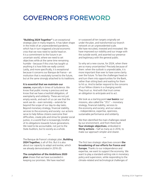# GOVERNOR'S FOREWORD

**"Building 2024 Together"** is an exceptional strategic plan in many respects. It has taken shape in the midst of an unprecedented pandemic, which has in turn triggered a brutal economic crisis that we now need to tackle head on. It is a commitment to the future in an uncertain world, where we need to set objectives while at the same time remaining humble – because if this crisis has taught us anything it is how little we really control. Lastly, and more specifically, it is exceptional because it concerns our Banque de France – an institution that is resolutely turned to the future, but at the same strongly attached to its traditions.

#### **It is essential that we maintain our**

**course,** especially in times of turbulence. We know that public money is precious and we know that we have a twofold obligation, of exemplarity and solidarity. These are not just empty words, and each of us can see that the work we do – even remotely – extends far beyond the scope of our day-to-day tasks. Beyond monetary strategy, financial stability, services to the economy and society: our actions serve to help fellow citizens overcome their difficulties, create jobs and strive for greater social justice, in a world that is increasingly mindful of its obligations towards future generations. We need to be accountable, not just to the State Auditors, but to society as a whole.

\*\*

The Banque de France's strategic plan, **Building 2024 Together,** is all of this. But it is also about our capacity to adapt and evolve, which we already demonstrated in 2016-20.

**The completion of the Ambitions 2020 plan** shows that we have succeeded in keeping our promises. We have reached

or surpassed all ten targets originally set under the plan, and transformed our branch network on an unprecedented scale. We have recruited, invested and innovated. We have improved our visibility and our image with the outside world, and asserted our presence and legitimacy with the general public.

So why set a new course, for 2024, when there are so many uncertainties? Precisely because of them: when the outlook is unpredictable, it is more important than ever to have some clarity over the future. To face the challenges head on and turn them into opportunities for the Bank, rather than sitting back and waiting for them to hit us. And to better respond to the concerns of our fellow citizens in a changing world. They trust us. And with that trust comes an obligation to anticipate and to act.

We took as a starting point **our basics:** our missions, also called the "3S's" – monetary strategy, financial stability, services to the economy and society; and our values – independence, expertise, openness, sustainable performance and solidarity.

We then identified the main challenges raised by our environment, and from there built **four strategic objectives**, embodied in **thirty actions** – half as many as in 2016, to make our approach simpler and clearer.

\*\*

The first two strategic objectives concern **the broadening of our efforts for France and Europe.** Thanks to our independence and expertise, we want to support the economy. We want to play a standard-setting role in monetary policy and supervision, while responding to the climate-related and technological challenges of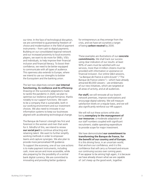our time. In the face of technological disruption, we are committed to guaranteeing freedom of choice and modernisation in the field of payment instruments – from cash to digital payments. Building on our consolidated regional network and our increased proximity to local economic players, we want to do more for SMEs, VSEs and individuals, to help improve their financial inclusion and financial literacy. To boost their confidence, we need to be better equipped to communicate with all types of audience. This openness also extends to Europe, where we intend to use our strengths to bolster the Eurosystem and the banking union.

#### The last two objectives concern **our internal functioning, its resilience and its efficiency.**

Drawing on the successful adaptations made to tackle the pandemic in 2020, we plan to optimise our resilience and performance, thanks notably to our support functions. We want to be a company that is sustainable, both in our working environment and our investment choices. We also need to innovate in our information systems to keep our businesses aligned with accelerating technological change.

The Banque de France's strength lies first and foremost in the women and men that work for it. Mindful of this, we intend to renew **our social pact** to continue attracting and retaining talent. We want to further simplify working methods in order to empower teams and capture synergies. We also plan to provide more personalised HR guidance.

To support the economy, one of our core actions is to make payment instruments, including cash, more secure and more accessible, while also preparing for the possibility of a central bank digital currency. We are committed to innovating and providing better guidance

for entrepreneurs as they emerge from the crisis, and we have set ourselves a target of being **carbon neutral** by 2030.

\*\*

These examples are illustrations of our **concrete commitments.** We shall track our success using clear indicators of our results: at least 90% of users must be satisfied with our services, more than 4 million citizens must be provided with information or assistance on financial inclusion. Our online Q&A sessions, "*La Banque de France à votre écoute*" ("The Banque de France Listens") – which have already attracted 80,000 viewers – are emblematic of our new initiatives, which are targeted at all areas of activity, and at all audiences.

**For staff,** we will renovate all our branch network premises, improve workstations and encourage digital sobriety. We will measure satisfaction levels on a regular basis, and we will also significantly reinforce our HR support.

We will roll out these actions while also being **exemplary in the management of our resources**: a moderate adaptation of our staff numbers coupled with significant recruitment; stable operating expenditure to provide scope for major investment.

We have demonstrated **our commitment to transforming the Banque de France, for the benefit of our country and of Europe.** It is this driving force, in an uncertain world, that anchors our confidence, and it is this confidence that will carry us forward and ensure our continuing success over coming years. If we appear to be aiming high again, it is because we have already shown what we are capable of. Let's keep up the good work, together.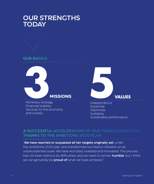### OUR STRENGTHS **TODAY**





Monetary strategy Financial stability Services to the economy and society



Independence Expertise Openness **Solidarity** Sustainable performance

### A SUCCESSFUL ACCELERATION OF OUR TRANSFORMATION, THANKS TO THE AMBITIONS 2020 PLAN

#### "We have reached or surpassed all ten targets originally set under

the Ambitions 2020 plan, and transformed our branch network on an unprecedented scale. We have recruited, invested and innovated. The process has not been without its difficulties, and we need to remain **humble**; but I think we can genuinely be **proud of** what we have achieved."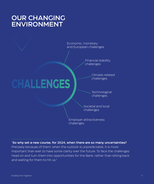### OUR CHANGING ENVIRONMENT



"So why set a new course, for 2024, when there are so many uncertainties? Precisely because of them: when the outlook is unpredictable, it is more important than ever to have some clarity over the future. To face the challenges head on and turn them into opportunities for the Bank, rather than sitting back and waiting for them to hit us."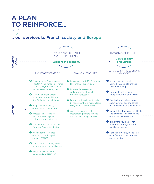# A PLAN TO REINFORCE…

### … our services to French society and Europe

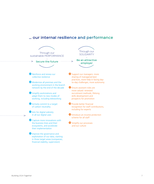#### … our internal resilience and performance